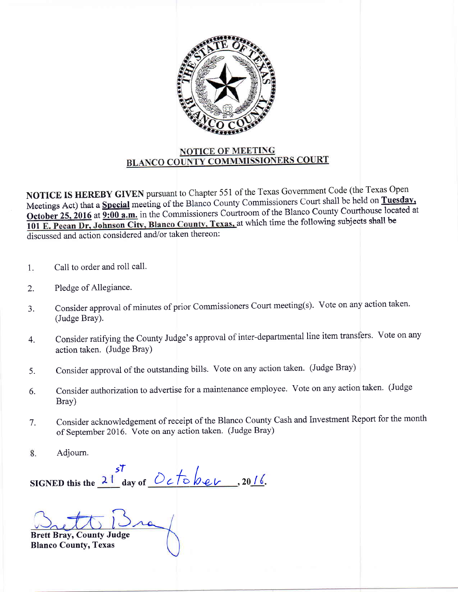

## NOTICE OF MEETING **BLANCO COUNTY COMMMISSIONERS COURT**

NOTICE IS HEREBY GIVEN pursuant to Chapter 551 of the Texas Government Code (the Texas Open Meetings Act) that a Special meeting of the Blanco County Commissioners Court shall be held on Tuesday.<br>Ostaben 25, 2016 at  $9.00$  a m in the Commissioners Courtroom of the Blanco County Courthouse located a a -r-- /^1^--/L^.,^^ 1^^^+64 o ;ffi;?;:,;il'; ffi=;.;;ffi iom-irrioners courtroom of the Blanco countv courthouse located at  $\frac{1}{101}$  E. Pecan Dr, Johnson City, Blanco County, Texas, at which time the following subjects shall be discussed and action considered and/or taken thereon:

- 1. Call to order and roll call.
- 2. Pledge of Allegiance.
- 3. Consider approval of minutes of prior Commissioners Court meeting(s). Vote on any action taken. (Judge Bray).
- 4. Consider ratifying the County Judge's approval of inter-departmental line item transfers. Vote on any action taken. (Judge BraY)
- 5. Consider approval of the outstanding bills. Vote on any action taken. (Judge Bray)
- 6. Consider authorization to advertise for a maintenance employee. Vote on any action taken. (Judge Bray)
- Consider acknowledgement of receipt of the Blanco County Cash and Investment Report for the month of September 2016. Vote on any action taken. (Judge Bray) 7.
- 8. Adjourn.

 $\frac{57}{2}$  day of <u>October</u>, 20 SIGNED this the  $\frac{21}{\omega}$  day of  $\frac{Oc}{Oc}$  bev,  $20/$ 

Brett Bray, County Judge Blanco County, Texas